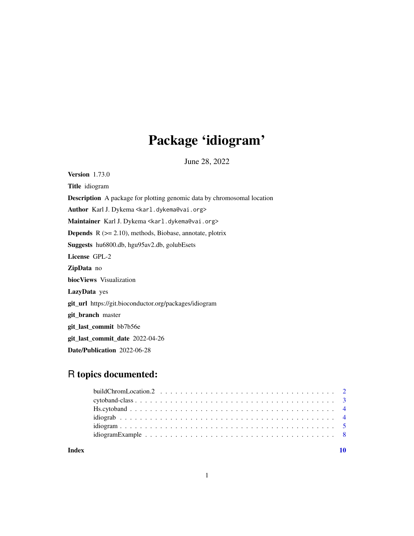## Package 'idiogram'

June 28, 2022

<span id="page-0-0"></span>Version 1.73.0 Title idiogram Description A package for plotting genomic data by chromosomal location Author Karl J. Dykema <karl.dykema@vai.org> Maintainer Karl J. Dykema <karl.dykema@vai.org> **Depends**  $R$  ( $>= 2.10$ ), methods, Biobase, annotate, plotrix Suggests hu6800.db, hgu95av2.db, golubEsets License GPL-2 ZipData no biocViews Visualization LazyData yes git\_url https://git.bioconductor.org/packages/idiogram git\_branch master git\_last\_commit bb7b56e git\_last\_commit\_date 2022-04-26

## R topics documented:

Date/Publication 2022-06-28

 $\blacksquare$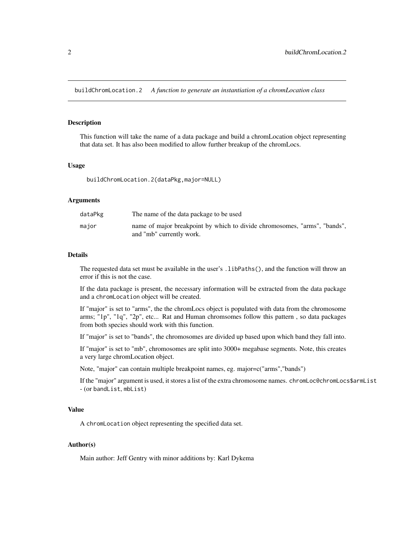<span id="page-1-0"></span>buildChromLocation.2 *A function to generate an instantiation of a chromLocation class*

#### **Description**

This function will take the name of a data package and build a chromLocation object representing that data set. It has also been modified to allow further breakup of the chromLocs.

#### Usage

buildChromLocation.2(dataPkg,major=NULL)

#### Arguments

| dataPkg | The name of the data package to be used                                                               |
|---------|-------------------------------------------------------------------------------------------------------|
| maior   | name of major breakpoint by which to divide chromosomes, "arms", "bands",<br>and "mb" currently work. |

#### Details

The requested data set must be available in the user's .libPaths(), and the function will throw an error if this is not the case.

If the data package is present, the necessary information will be extracted from the data package and a chromLocation object will be created.

If "major" is set to "arms", the the chromLocs object is populated with data from the chromosome arms; "1p", "1q", "2p", etc... Rat and Human chromsomes follow this pattern , so data packages from both species should work with this function.

If "major" is set to "bands", the chromosomes are divided up based upon which band they fall into.

If "major" is set to "mb", chromosomes are split into 3000+ megabase segments. Note, this creates a very large chromLocation object.

Note, "major" can contain multiple breakpoint names, eg. major=c("arms","bands")

If the "major" argument is used, it stores a list of the extra chromosome names. chromLoc@chromLocs\$armList - (or bandList, mbList)

#### Value

A chromLocation object representing the specified data set.

#### Author(s)

Main author: Jeff Gentry with minor additions by: Karl Dykema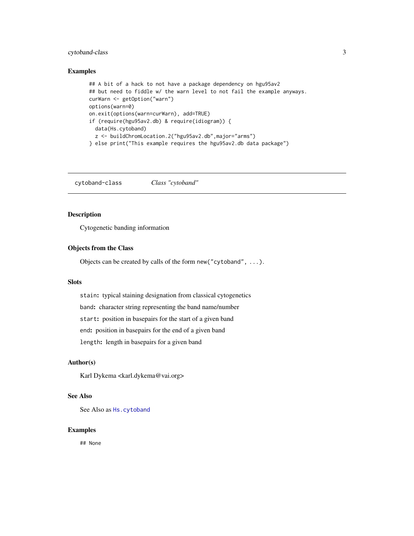#### <span id="page-2-0"></span>cytoband-class 3

#### Examples

```
## A bit of a hack to not have a package dependency on hgu95av2
## but need to fiddle w/ the warn level to not fail the example anyways.
curWarn <- getOption("warn")
options(warn=0)
on.exit(options(warn=curWarn), add=TRUE)
if (require(hgu95av2.db) & require(idiogram)) {
  data(Hs.cytoband)
  z <- buildChromLocation.2("hgu95av2.db",major="arms")
} else print("This example requires the hgu95av2.db data package")
```
cytoband-class *Class "cytoband"*

#### Description

Cytogenetic banding information

#### Objects from the Class

Objects can be created by calls of the form new("cytoband", ...).

#### Slots

stain: typical staining designation from classical cytogenetics band: character string representing the band name/number start: position in basepairs for the start of a given band end: position in basepairs for the end of a given band length: length in basepairs for a given band

#### Author(s)

Karl Dykema <karl.dykema@vai.org>

#### See Also

See Also as [Hs.cytoband](#page-3-1)

#### Examples

## None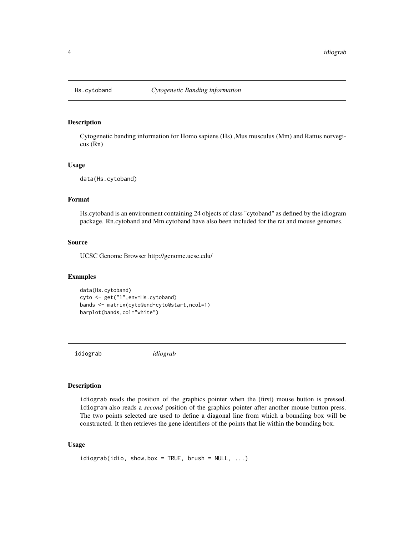<span id="page-3-1"></span><span id="page-3-0"></span>

#### Description

Cytogenetic banding information for Homo sapiens (Hs) ,Mus musculus (Mm) and Rattus norvegicus (Rn)

#### Usage

data(Hs.cytoband)

#### Format

Hs.cytoband is an environment containing 24 objects of class "cytoband" as defined by the idiogram package. Rn.cytoband and Mm.cytoband have also been included for the rat and mouse genomes.

#### Source

UCSC Genome Browser http://genome.ucsc.edu/

#### Examples

```
data(Hs.cytoband)
cyto <- get("1",env=Hs.cytoband)
bands <- matrix(cyto@end-cyto@start,ncol=1)
barplot(bands,col="white")
```
<span id="page-3-2"></span>idiograb *idiograb*

#### Description

idiograb reads the position of the graphics pointer when the (first) mouse button is pressed. idiogram also reads a *second* position of the graphics pointer after another mouse button press. The two points selected are used to define a diagonal line from which a bounding box will be constructed. It then retrieves the gene identifiers of the points that lie within the bounding box.

#### Usage

```
idiograb(idio, show.box = TRUE, brush = NULL, ...)
```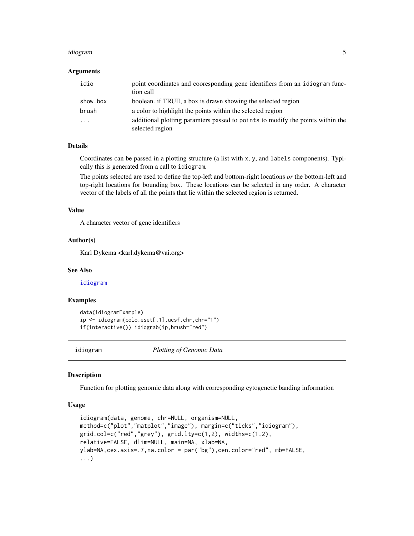#### <span id="page-4-0"></span>idiogram 5

#### Arguments

| idio                    | point coordinates and cooresponding gene identifiers from an idiogram func-<br>tion call          |
|-------------------------|---------------------------------------------------------------------------------------------------|
| show.box                | boolean. if TRUE, a box is drawn showing the selected region                                      |
| brush                   | a color to highlight the points within the selected region                                        |
| $\cdot$ $\cdot$ $\cdot$ | additional plotting paramters passed to points to modify the points within the<br>selected region |

#### Details

Coordinates can be passed in a plotting structure (a list with x, y, and labels components). Typically this is generated from a call to idiogram.

The points selected are used to define the top-left and bottom-right locations *or* the bottom-left and top-right locations for bounding box. These locations can be selected in any order. A character vector of the labels of all the points that lie within the selected region is returned.

#### Value

A character vector of gene identifiers

#### Author(s)

Karl Dykema <karl.dykema@vai.org>

#### See Also

[idiogram](#page-4-1)

#### Examples

```
data(idiogramExample)
ip <- idiogram(colo.eset[,1],ucsf.chr,chr="1")
if(interactive()) idiograb(ip,brush="red")
```
<span id="page-4-1"></span>idiogram *Plotting of Genomic Data*

#### Description

Function for plotting genomic data along with corresponding cytogenetic banding information

#### Usage

```
idiogram(data, genome, chr=NULL, organism=NULL,
method=c("plot","matplot","image"), margin=c("ticks","idiogram"),
grid.col=c("red","grey"), grid.lty=c(1,2), widths=c(1,2),
relative=FALSE, dlim=NULL, main=NA, xlab=NA,
ylab=NA,cex.axis=.7,na.color = par("bg"),cen.color="red", mb=FALSE,
...)
```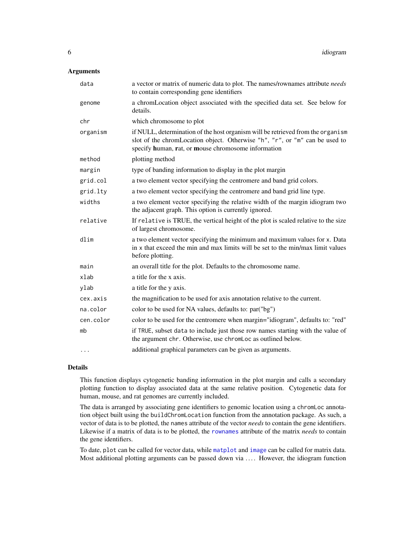#### <span id="page-5-0"></span>Arguments

| data      | a vector or matrix of numeric data to plot. The names/rownames attribute needs<br>to contain corresponding gene identifiers                                                                                           |
|-----------|-----------------------------------------------------------------------------------------------------------------------------------------------------------------------------------------------------------------------|
| genome    | a chromLocation object associated with the specified data set. See below for<br>details.                                                                                                                              |
| chr       | which chromosome to plot                                                                                                                                                                                              |
| organism  | if NULL, determination of the host organism will be retrieved from the organism<br>slot of the chromLocation object. Otherwise "h", "r", or "m" can be used to<br>specify human, rat, or mouse chromosome information |
| method    | plotting method                                                                                                                                                                                                       |
| margin    | type of banding information to display in the plot margin                                                                                                                                                             |
| grid.col  | a two element vector specifying the centromere and band grid colors.                                                                                                                                                  |
| grid.lty  | a two element vector specifying the centromere and band grid line type.                                                                                                                                               |
| widths    | a two element vector specifying the relative width of the margin idiogram two<br>the adjacent graph. This option is currently ignored.                                                                                |
| relative  | If relative is TRUE, the vertical height of the plot is scaled relative to the size<br>of largest chromosome.                                                                                                         |
| dlim      | a two element vector specifying the minimum and maximum values for x. Data<br>in x that exceed the min and max limits will be set to the min/max limit values<br>before plotting.                                     |
| main      | an overall title for the plot. Defaults to the chromosome name.                                                                                                                                                       |
| xlab      | a title for the x axis.                                                                                                                                                                                               |
| ylab      | a title for the y axis.                                                                                                                                                                                               |
| cex.axis  | the magnification to be used for axis annotation relative to the current.                                                                                                                                             |
| na.color  | color to be used for NA values, defaults to: par("bg")                                                                                                                                                                |
| cen.color | color to be used for the centromere when margin="idiogram", defaults to: "red"                                                                                                                                        |
| mb        | if TRUE, subset data to include just those row names starting with the value of<br>the argument chr. Otherwise, use chromLoc as outlined below.                                                                       |
| $\cdots$  | additional graphical parameters can be given as arguments.                                                                                                                                                            |

#### Details

This function displays cytogenetic banding information in the plot margin and calls a secondary plotting function to display associated data at the same relative position. Cytogenetic data for human, mouse, and rat genomes are currently included.

The data is arranged by associating gene identifiers to genomic location using a chromLoc annotation object built using the buildChromLocation function from the annotation package. As such, a vector of data is to be plotted, the names attribute of the vector *needs* to contain the gene identifiers. Likewise if a matrix of data is to be plotted, the [rownames](#page-0-0) attribute of the matrix *needs* to contain the gene identifiers.

To date, plot can be called for vector data, while [matplot](#page-0-0) and [image](#page-0-0) can be called for matrix data. Most additional plotting arguments can be passed down via .... However, the idiogram function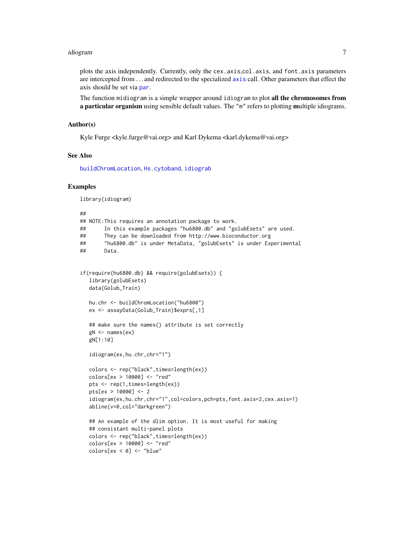#### <span id="page-6-0"></span>idiogram 7

plots the axis independently. Currently, only the cex.axis,col.axis, and font.axis parameters are intercepted from . . . and redirected to the specialized [axis](#page-0-0) call. Other parameters that effect the axis should be set via [par](#page-0-0).

The function midiogram is a simple wrapper around idiogram to plot all the chromosomes from a particular organism using sensible default values. The "m" refers to plotting multiple idiograms.

#### Author(s)

Kyle Furge <kyle.furge@vai.org> and Karl Dykema <karl.dykema@vai.org>

#### See Also

[buildChromLocation](#page-0-0), [Hs.cytoband](#page-3-1), [idiograb](#page-3-2)

#### Examples

library(idiogram)

## ## ## NOTE:This requires an annotation package to work. ## In this example packages "hu6800.db" and "golubEsets" are used. ## They can be downloaded from http://www.bioconductor.org ## "hu6800.db" is under MetaData, "golubEsets" is under Experimental ## Data. if(require(hu6800.db) && require(golubEsets)) { library(golubEsets) data(Golub\_Train) hu.chr <- buildChromLocation("hu6800") ex <- assayData(Golub\_Train)\$exprs[,1] ## make sure the names() attribute is set correctly  $gN \leq -$  names(ex) gN[1:10] idiogram(ex,hu.chr,chr="1") colors <- rep("black",times=length(ex)) colors[ex > 10000] <- "red" pts <- rep(1,times=length(ex)) pts[ex > 10000] <- 2 idiogram(ex,hu.chr,chr="1",col=colors,pch=pts,font.axis=2,cex.axis=1) abline(v=0,col="darkgreen") ## An example of the dlim option. It is most useful for making ## consistant multi-panel plots colors <- rep("black",times=length(ex)) colors[ex > 10000] <- "red" colors[ex < 0] <- "blue"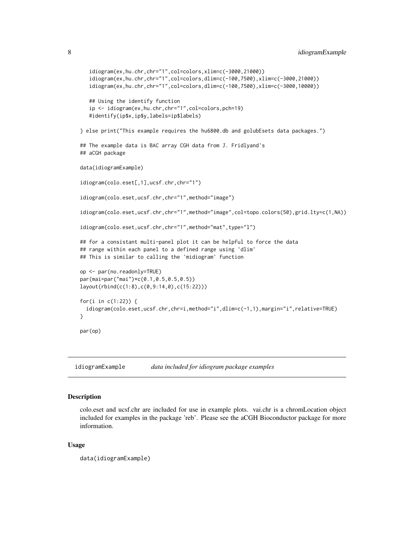```
idiogram(ex,hu.chr,chr="1",col=colors,xlim=c(-3000,21000))
   idiogram(ex,hu.chr,chr="1",col=colors,dlim=c(-100,7500),xlim=c(-3000,21000))
   idiogram(ex,hu.chr,chr="1",col=colors,dlim=c(-100,7500),xlim=c(-3000,10000))
   ## Using the identify function
   ip <- idiogram(ex,hu.chr,chr="1",col=colors,pch=19)
   #identify(ip$x,ip$y,labels=ip$labels)
} else print("This example requires the hu6800.db and golubEsets data packages.")
## The example data is BAC array CGH data from J. Fridlyand's
## aCGH package
data(idiogramExample)
idiogram(colo.eset[,1],ucsf.chr,chr="1")
idiogram(colo.eset,ucsf.chr,chr="1",method="image")
idiogram(colo.eset,ucsf.chr,chr="1",method="image",col=topo.colors(50),grid.lty=c(1,NA))
idiogram(colo.eset,ucsf.chr,chr="1",method="mat",type="l")
## for a consistant multi-panel plot it can be helpful to force the data
## range within each panel to a defined range using 'dlim'
## This is similar to calling the 'midiogram' function
op <- par(no.readonly=TRUE)
par(mai=par("mai")*c(0.1,0.5,0.5,0.5))
layout(rbind(c(1:8),c(0,9:14,0),c(15:22)))
for(i in c(1:22)) {
 idiogram(colo.eset,ucsf.chr,chr=i,method="i",dlim=c(-1,1),margin="i",relative=TRUE)
}
par(op)
```
idiogramExample *data included for idiogram package examples*

#### **Description**

colo.eset and ucsf.chr are included for use in example plots. vai.chr is a chromLocation object included for examples in the package 'reb'. Please see the aCGH Bioconductor package for more information.

#### Usage

```
data(idiogramExample)
```
<span id="page-7-0"></span>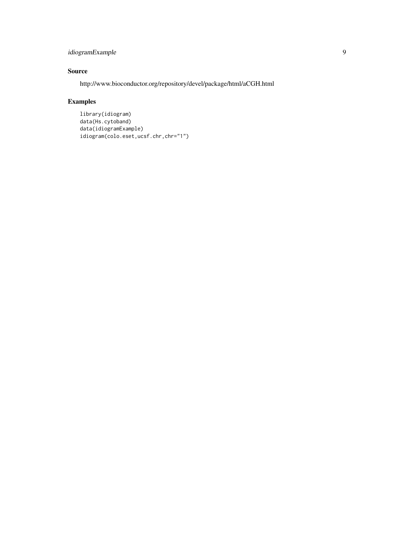## idiogramExample 9

### Source

http://www.bioconductor.org/repository/devel/package/html/aCGH.html

## Examples

```
library(idiogram)
data(Hs.cytoband)
data(idiogramExample)
idiogram(colo.eset,ucsf.chr,chr="1")
```